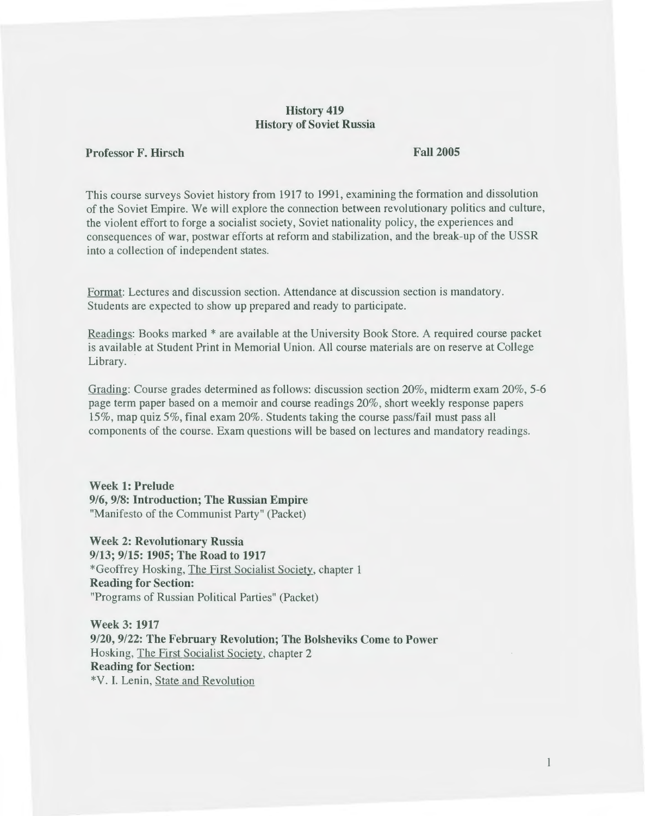# **History 419 History of Soviet Russia**

### **Professor F. Hirsch**

#### **Fall2005**

This course surveys Soviet history from 1917 to 1991, examining the formation and dissolution of the Soviet Empire. We will explore the connection between revolutionary politics and culture, the violent effort to forge a socialist society, Soviet nationality policy, the experiences and consequences of war, postwar efforts at reform and stabilization, and the break-up of the USSR into a collection of independent states.

Format: Lectures and discussion section. Attendance at discussion section is mandatory. Students are expected to show up prepared and ready to participate.

Readings: Books marked \* are available at the University Book Store. A required course packet is available at Student Print in Memorial Union. All course materials are on reserve at College Library.

Grading: Course grades determined as follows: discussion section 20%, midterm exam 20%, 5-6 page term paper based on a memoir and course readings 20%, short weekly response papers 15%, map quiz 5%, final exam 20%. Students taking the course pass/fail must pass all components of the course. Exam questions will be based on lectures and mandatory readings.

**Week 1: Prelude**  916, **9/8: Introduction; The Russian Empire**  "Manifesto of the Communist Party" (Packet)

**Week 2: Revolutionary Russia 9/13; 9/15: 1905; The Road to 1917**  \*Geoffrey Hosking, The First Socialist Society, chapter 1 **Reading for Section:**  "Programs of Russian Political Parties" (Packet)

**Week 3: 1917 9/20, 9/22: The February Revolution; The Bolsheviks Come to Power**  Hosking, The First Socialist Society, chapter 2 **Reading for Section:**  \*V. I. Lenin, State and Revolution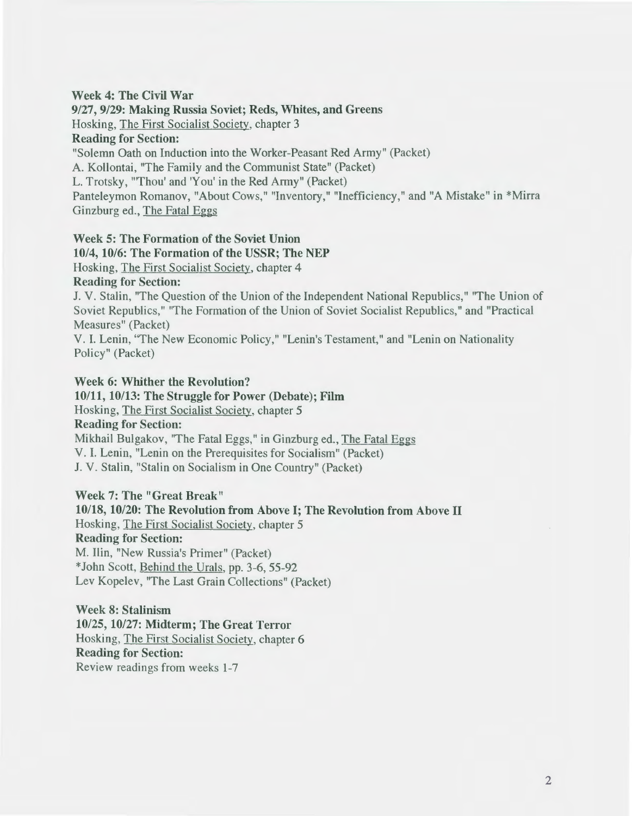## Week 4: The Civil War

#### 9/27, 9/29: Making Russia Soviet; Reds, Whites, and Greens

Hosking, The First Socialist Society, chapter 3

# Reading for Section:

"Solemn Oath on Induction into the Worker-Peasant Red Army" (Packet)

A. Kollontai, "The Family and the Communist State" (Packet)

L. Trotsky, '"Thou' and 'You' in the Red Army" (Packet)

Panteleymon Romanov, "About Cows," "Inventory," "Inefficiency," and "A Mistake" in \*Mirra Ginzburg ed., The Fatal Eggs

# Week 5: The Formation of the Soviet Union 10/4, 10/6: The Formation of the USSR; The NEP Hosking, The First Socialist Society, chapter 4

# Reading for Section:

J. V. Stalin, "The Question of the Union of the Independent National Republics," "The Union of Soviet Republics," "The Formation of the Union of Soviet Socialist Republics," and "Practical Measures" (Packet)

V.I. Lenin, "The New Economic Policy," "Lenin's Testament," and "Lenin on Nationality Policy" (Packet)

# Week 6: Whither the Revolution?

# 10/11, 10/13: The Struggle for Power (Debate); Film Hosking, The First Socialist Society, chapter 5 Reading for Section: Mikhail Bulgakov, "The Fatal Eggs," in Ginzburg ed., The Fatal Eggs V. I. Lenin, "Lenin on the Prerequisites for Socialism" (Packet) J. V. Stalin, "Stalin on Socialism in One Country" (Packet)

Week 7: The "Great Break" 10/18, 10/20: The Revolution from Above I; The Revolution from Above II Hosking, The First Socialist Society, chapter 5 Reading for Section: M. Tlin, "New Russia's Primer" (Packet) \*John Scott, Behind the Urals, pp. 3-6, 55-92 Lev Kopelev, "The Last Grain Collections" (Packet)

Week 8: Stalinism 10/25, 10/27: Midterm; The Great Terror Hosking, The First Socialist Society, chapter 6 Reading for Section: Review readings from weeks 1-7